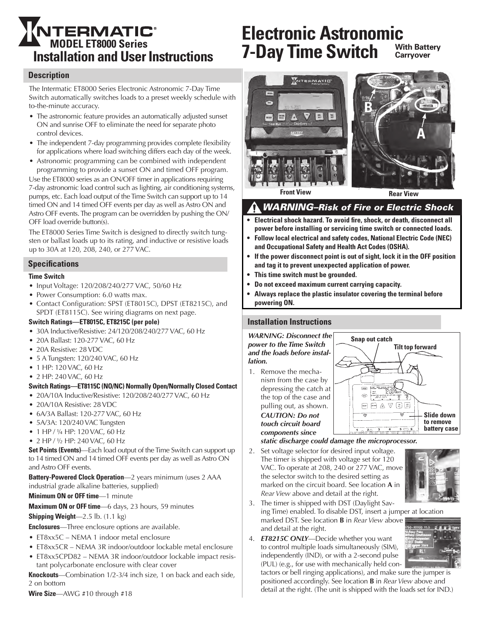# **Installation and User Instructions MTERMATIC<sup>®</sup>**<br>MODEL ET8000 Series

#### **Description**

The Intermatic ET8000 Series Electronic Astronomic 7-Day Time Switch automatically switches loads to a preset weekly schedule with to-the-minute accuracy.

- The astronomic feature provides an automatically adjusted sunset ON and sunrise OFF to eliminate the need for separate photo control devices.
- The independent 7-day programming provides complete flexibility for applications where load switching differs each day of the week.
- Astronomic programming can be combined with independent programming to provide a sunset ON and timed OFF program.

Use the ET8000 series as an ON/OFF timer in applications requiring 7-day astronomic load control such as lighting, air conditioning systems, pumps, etc. Each load output of the Time Switch can support up to 14 timed ON and 14 timed OFF events per day as well as Astro ON and Astro OFF events. The program can be overridden by pushing the ON/ OFF load override button(s).

The ET8000 Series Time Switch is designed to directly switch tungsten or ballast loads up to its rating, and inductive or resistive loads up to 30A at 120, 208, 240, or 277 VAC.

#### **Specifications**

#### **Time Switch**

- Input Voltage: 120/208/240/277 VAC, 50/60 Hz
- Power Consumption: 6.0 watts max.
- Contact Configuration: SPST (ET8015C), DPST (ET8215C), and SPDT (ET8115C). See wiring diagrams on next page.

#### **Switch Ratings—ET8015C, ET8215C (per pole)**

- 30A Inductive/Resistive: 24/120/208/240/277 VAC, 60 Hz
- 20A Ballast: 120-277 VAC, 60 Hz
- 20A Resistive: 28 VDC
- 5 A Tungsten: 120/240 VAC, 60 Hz
- 1 HP: 120 VAC, 60 Hz
- • 2 HP: 240 VAC, 60 Hz

#### **Switch Ratings—ET8115C (NO/NC) Normally Open/Normally Closed Contact**

- 20A/10A Inductive/Resistive: 120/208/240/277 VAC, 60 Hz
- 20A/10A Resistive: 28 VDC
- 6A/3A Ballast: 120-277 VAC, 60 Hz
- 5A/3A: 120/240 VAC Tungsten
- 1 HP / 1/4 HP: 120 VAC, 60 Hz
- $2$  HP /  $1/2$  HP: 240 VAC, 60 Hz

**Set Points (Events)**—Each load output of the Time Switch can support up to 14 timed ON and 14 timed OFF events per day as well as Astro ON and Astro OFF events.

**Battery-Powered Clock Operation**—2 years minimum (uses 2 AAA industrial grade alkaline batteries, supplied)

**Minimum ON or OFF time**—1 minute

**Maximum ON or OFF time**—6 days, 23 hours, 59 minutes

**Shipping Weight**—2.5 lb. (1.1 kg)

**Enclosures**—Three enclosure options are available.

- ET8xx5C NEMA 1 indoor metal enclosure
- ET8xx5CR NEMA 3R indoor/outdoor lockable metal enclosure
- ET8xx5CPD82 NEMA 3R indoor/outdoor lockable impact resistant polycarbonate enclosure with clear cover

**Knockouts**—Combination 1/2-3/4 inch size, 1 on back and each side, 2 on bottom

**Wire Size**—AWG #10 through #18

#### **Electronic Astronomic 7-Day Time Switch With Battery Carryover**



**Front View <b>Rear View Rear View** 

### *WARNING–Risk of Fire or Electric Shock*

- **Electrical shock hazard. To avoid fire, shock, or death, disconnect all power before installing or servicing time switch or connected loads.**
- **Follow local electrical and safety codes, National Electric Code (NEC) and Occupational Safety and Health Act Codes (OSHA).**
- **• If the power disconnect point is out of sight, lock it in the OFF position and tag it to prevent unexpected application of power.**
- **This time switch must be grounded.**
- **• Do not exceed maximum current carrying capacity.**
- **• Always replace the plastic insulator covering the terminal before powering ON.**

#### **Installation Instructions**

*WARNING: Disconnect the power to the Time Switch and the loads before installation.*

1. Remove the mechanism from the case by depressing the catch at the top of the case and pulling out, as shown. *CAUTION: Do not touch circuit board components since* 



#### *static discharge could damage the microprocessor.*

2. Set voltage selector for desired input voltage. The timer is shipped with voltage set for 120 VAC. To operate at 208, 240 or 277 VAC, move the selector switch to the desired setting as marked on the circuit board. See location **A** in *Rear View* above and detail at the right.



3. The timer is shipped with DST (Daylight Saving Time) enabled. To disable DST, insert a jumper at location marked DST. See location **B** in *Rear View* above and detail at the right.

4. *ET8215C ONLY*—Decide whether you want to control multiple loads simultaneously (SIM), independently (IND), or with a 2-second pulse (PUL) (e.g., for use with mechanically held con-

tactors or bell ringing applications), and make sure the jumper is positioned accordingly. See location **B** in *Rear View* above and detail at the right. (The unit is shipped with the loads set for IND.)

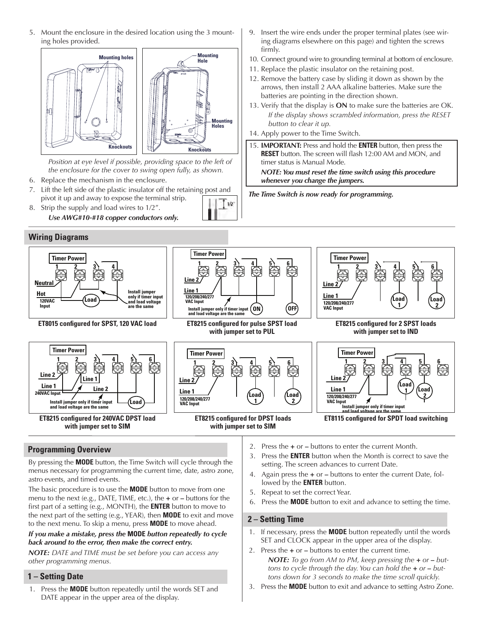5. Mount the enclosure in the desired location using the 3 mounting holes provided.



Position at eye level if possible, providing space to the left of *the enclosure for the cover to swing open fully, as shown.*

- 6. Replace the mechanism in the enclosure.
- 7. Lift the left side of the plastic insulator off the retaining post and pivot it up and away to expose the terminal strip.  $1/2$
- 8. Strip the supply and load wires to 1/2". *Use AWG#10-#18 copper conductors only.*
- **Wiring Diagrams**



**ET8015 configured for SPST, 120 VAC load**





# **with jumper set to PUL**





**1 Line 2 120/208/240/277 VAC Input Line 1 2 3 4 5 6 Load 1 Timer Power Load 2 ET8215 configured for 2 SPST loads** 

**with jumper set to IND**



# **Programming Overview**

By pressing the **MODE** button, the Time Switch will cycle through the menus necessary for programming the current time, date, astro zone, astro events, and timed events.

The basic procedure is to use the **MODE** button to move from one menu to the next (e.g., DATE, TIME, etc.), the **+** or **–** buttons for the first part of a setting (e.g., MONTH), the **ENTER** button to move to the next part of the setting (e.g., YEAR), then **MODE** to exit and move to the next menu. To skip a menu, press **MODE** to move ahead.

#### *If you make a mistake, press the* **MODE** *button repeatedly to cycle back around to the error, then make the correct entry.*

*NOTE: DATE and TIME must be set before you can access any other programming menus.*

# **1 – Setting Date**

1. Press the **MODE** button repeatedly until the words SET and DATE appear in the upper area of the display.

- 2. Press the **+** or **–** buttons to enter the current Month.
- 3. Press the **ENTER** button when the Month is correct to save the setting. The screen advances to current Date.
- 4. Again press the **+** or buttons to enter the current Date, followed by the **ENTER** button.
- 5. Repeat to set the correct Year.
- 6. Press the **MODE** button to exit and advance to setting the time.

#### **2 – Setting Time**

- 1. If necessary, press the **MODE** button repeatedly until the words SET and CLOCK appear in the upper area of the display.
- 2. Press the **+** or buttons to enter the current time. *NOTE: To go from AM to PM, keep pressing the*  $+$  *or*  $-$  *<i>buttons to cycle through the day. You can hold the* **+** *or* **–** *buttons down for 3 seconds to make the time scroll quickly.*
- 3. Press the **MODE** button to exit and advance to setting Astro Zone.
- 9. Insert the wire ends under the proper terminal plates (see wiring diagrams elsewhere on this page) and tighten the screws firmly.
- 10. Connect ground wire to grounding terminal at bottom of enclosure.
- 11. Replace the plastic insulator on the retaining post.
- 12. Remove the battery case by sliding it down as shown by the arrows, then install 2 AAA alkaline batteries. Make sure the batteries are pointing in the direction shown.
- 13. Verify that the display is **ON** to make sure the batteries are OK. *If the display shows scrambled information, press the RESET button to clear it up.*
- 14. Apply power to the Time Switch.
- 15. **IMPORTANT:** Press and hold the **ENTER** button, then press the **RESET** button. The screen will flash 12:00 AM and MON, and timer status is Manual Mode. *NOTE: You must reset the time switch using this procedure*

*whenever you change the jumpers.*

*The Time Switch is now ready for programming.*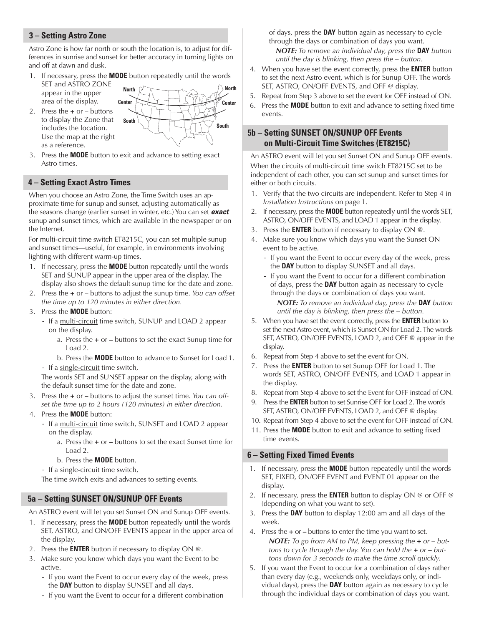#### **3 – Setting Astro Zone**

Astro Zone is how far north or south the location is, to adjust for differences in sunrise and sunset for better accuracy in turning lights on and off at dawn and dusk.

- 1. If necessary, press the **MODE** button repeatedly until the words SET and ASTRO ZONE
- appear in the upper area of the display. 2. Press the **+** or **–** buttons to display the Zone that includes the location. Use the map at the right as a reference.



3. Press the **MODE** button to exit and advance to setting exact Astro times.

#### **4 – Setting Exact Astro Times**

When you choose an Astro Zone, the Time Switch uses an approximate time for sunup and sunset, adjusting automatically as the seasons change (earlier sunset in winter, etc.) You can set *exact* sunup and sunset times, which are available in the newspaper or on the Internet.

For multi-circuit time switch ET8215C, you can set multiple sunup and sunset times—useful, for example, in environments involving lighting with different warm-up times.

- 1. If necessary, press the **MODE** button repeatedly until the words SET and SUNUP appear in the upper area of the display. The display also shows the default sunup time for the date and zone.
- 2. Press the **+** or buttons to adjust the sunup time. *You can offset the time up to 120 minutes in either direction.*
- 3. Press the **MODE** button:
	- If a multi-circuit time switch, SUNUP and LOAD 2 appear on the display.
		- a. Press the **+** or buttons to set the exact Sunup time for Load 2.

b. Press the **MODE** button to advance to Sunset for Load 1.

- If a single-circuit time switch,

The words SET and SUNSET appear on the display, along with the default sunset time for the date and zone.

- 3. Press the **+** or buttons to adjust the sunset time. *You can offset the time up to 2 hours (120 minutes) in either direction.*
- 4. Press the **MODE** button:
	- If a multi-circuit time switch, SUNSET and LOAD 2 appear on the display.
		- a. Press the **+** or buttons to set the exact Sunset time for Load 2.
		- b. Press the **MODE** button.
	- If a single-circuit time switch,

The time switch exits and advances to setting events.

#### **5a – Setting SUNSET ON/SUNUP OFF Events**

An ASTRO event will let you set Sunset ON and Sunup OFF events.

- 1. If necessary, press the **MODE** button repeatedly until the words SET, ASTRO, and ON/OFF EVENTS appear in the upper area of the display.
- 2. Press the **ENTER** button if necessary to display ON @.
- 3. Make sure you know which days you want the Event to be active.
	- If you want the Event to occur every day of the week, press the **DAY** button to display SUNSET and all days.
	- If you want the Event to occur for a different combination

of days, press the **DAY** button again as necessary to cycle through the days or combination of days you want.

*NOTE: To remove an individual day, press the* **DAY** *button until the day is blinking, then press the - button.* 

- 4. When you have set the event correctly, press the **ENTER** button to set the next Astro event, which is for Sunup OFF. The words SET, ASTRO, ON/OFF EVENTS, and OFF @ display.
- 5. Repeat from Step 3 above to set the event for OFF instead of ON.
- 6. Press the **MODE** button to exit and advance to setting fixed time events.

#### **5b – Setting SUNSET ON/SUNUP OFF Events on Multi-Circuit Time Switches (ET8215C)**

An ASTRO event will let you set Sunset ON and Sunup OFF events. When the circuits of multi-circuit time switch ET8215C set to be independent of each other, you can set sunup and sunset times for either or both circuits.

- 1. Verify that the two circuits are independent. Refer to Step 4 in *Installation Instructions* on page 1.
- 2. If necessary, press the **MODE** button repeatedly until the words SET, ASTRO, ON/OFF EVENTS, and LOAD 1 appear in the display.
- 3. Press the **ENTER** button if necessary to display ON @.
- 4. Make sure you know which days you want the Sunset ON event to be active.
	- If you want the Event to occur every day of the week, press the **DAY** button to display SUNSET and all days.
	- If you want the Event to occur for a different combination of days, press the **DAY** button again as necessary to cycle through the days or combination of days you want.

*NOTE: To remove an individual day, press the* **DAY** *button until the day is blinking, then press the - button.* 

- 5. When you have set the event correctly, press the **ENTER** button to set the next Astro event, which is Sunset ON for Load 2. The words SET, ASTRO, ON/OFF EVENTS, LOAD 2, and OFF @ appear in the display.
- 6. Repeat from Step 4 above to set the event for ON.
- 7. Press the **ENTER** button to set Sunup OFF for Load 1. The words SET, ASTRO, ON/OFF EVENTS, and LOAD 1 appear in the display.
- 8. Repeat from Step 4 above to set the Event for OFF instead of ON.
- 9. Press the **ENTER** button to set Sunrise OFF for Load 2. The words SET, ASTRO, ON/OFF EVENTS, LOAD 2, and OFF @ display.
- 10. Repeat from Step 4 above to set the event for OFF instead of ON.
- 11. Press the **MODE** button to exit and advance to setting fixed time events.

#### **6 – Setting Fixed Timed Events**

- 1. If necessary, press the **MODE** button repeatedly until the words SET, FIXED, ON/OFF EVENT and EVENT 01 appear on the display.
- 2. If necessary, press the **ENTER** button to display ON @ or OFF @ (depending on what you want to set).
- 3. Press the **DAY** button to display 12:00 am and all days of the week.
- 4. Press the **+** or buttons to enter the time you want to set. *NOTE: To go from AM to PM, keep pressing the*  $+$  *or*  $-$  *<i>buttons to cycle through the day. You can hold the* **+** *or* **–** *buttons down for 3 seconds to make the time scroll quickly.*
- 5. If you want the Event to occur for a combination of days rather than every day (e.g., weekends only, weekdays only, or individual days), press the **DAY** button again as necessary to cycle through the individual days or combination of days you want.